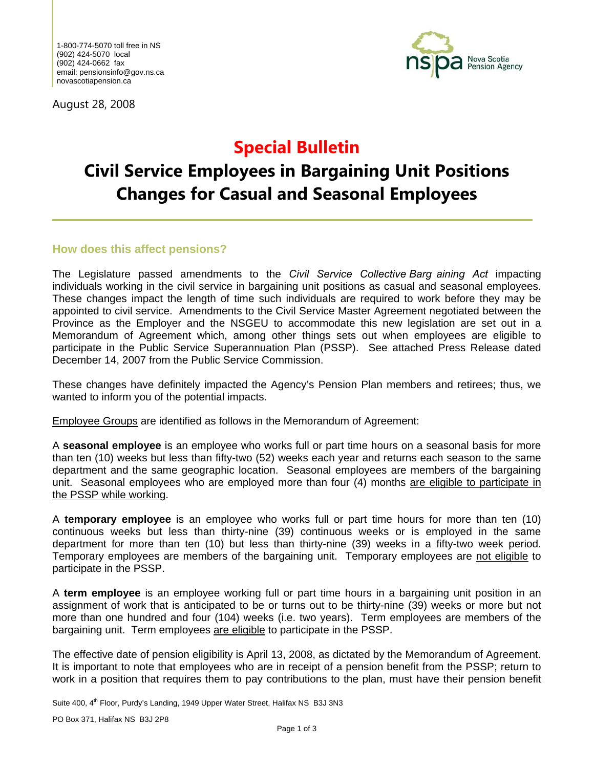August 28, 2008



# **Special Bulletin**

# **Civil Service Employees in Bargaining Unit Positions Changes for Casual and Seasonal Employees**

#### **How does this affect pensions?**

The Legislature passed amendments to the *Civil Service Collective Barg aining Act* impacting individuals working in the civil service in bargaining unit positions as casual and seasonal employees. These changes impact the length of time such individuals are required to work before they may be appointed to civil service. Amendments to the Civil Service Master Agreement negotiated between the Province as the Employer and the NSGEU to accommodate this new legislation are set out in a Memorandum of Agreement which, among other things sets out when employees are eligible to participate in the Public Service Superannuation Plan (PSSP). See attached Press Release dated December 14, 2007 from the Public Service Commission.

These changes have definitely impacted the Agency's Pension Plan members and retirees; thus, we wanted to inform you of the potential impacts.

Employee Groups are identified as follows in the Memorandum of Agreement:

A **seasonal employee** is an employee who works full or part time hours on a seasonal basis for more than ten (10) weeks but less than fifty-two (52) weeks each year and returns each season to the same department and the same geographic location. Seasonal employees are members of the bargaining unit. Seasonal employees who are employed more than four (4) months are eligible to participate in the PSSP while working.

A **temporary employee** is an employee who works full or part time hours for more than ten (10) continuous weeks but less than thirty-nine (39) continuous weeks or is employed in the same department for more than ten (10) but less than thirty-nine (39) weeks in a fifty-two week period. Temporary employees are members of the bargaining unit. Temporary employees are not eligible to participate in the PSSP.

A **term employee** is an employee working full or part time hours in a bargaining unit position in an assignment of work that is anticipated to be or turns out to be thirty-nine (39) weeks or more but not more than one hundred and four (104) weeks (i.e. two years). Term employees are members of the bargaining unit. Term employees are eligible to participate in the PSSP.

The effective date of pension eligibility is April 13, 2008, as dictated by the Memorandum of Agreement. It is important to note that employees who are in receipt of a pension benefit from the PSSP; return to work in a position that requires them to pay contributions to the plan, must have their pension benefit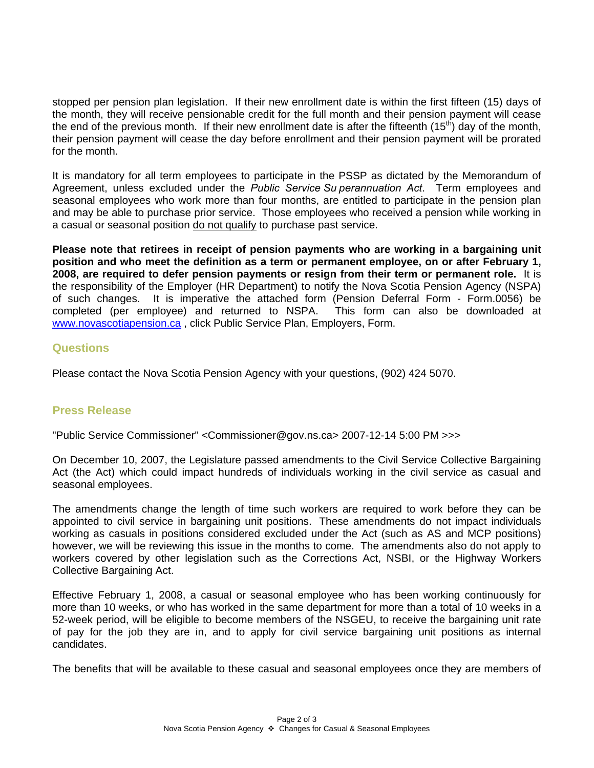stopped per pension plan legislation. If their new enrollment date is within the first fifteen (15) days of the month, they will receive pensionable credit for the full month and their pension payment will cease the end of the previous month. If their new enrollment date is after the fifteenth  $(15<sup>th</sup>)$  day of the month, their pension payment will cease the day before enrollment and their pension payment will be prorated for the month.

It is mandatory for all term employees to participate in the PSSP as dictated by the Memorandum of Agreement, unless excluded under the *Public Service Su perannuation Act*. Term employees and seasonal employees who work more than four months, are entitled to participate in the pension plan and may be able to purchase prior service. Those employees who received a pension while working in a casual or seasonal position do not qualify to purchase past service.

**Please note that retirees in receipt of pension payments who are working in a bargaining unit position and who meet the definition as a term or permanent employee, on or after February 1, 2008, are required to defer pension payments or resign from their term or permanent role.** It is the responsibility of the Employer (HR Department) to notify the Nova Scotia Pension Agency (NSPA) of such changes. It is imperative the attached form (Pension Deferral Form - Form.0056) be completed (per employee) and returned to NSPA. This form can also be downloaded at www.novascotiapension.ca , click Public Service Plan, Employers, Form.

### **Questions**

Please contact the Nova Scotia Pension Agency with your questions, (902) 424 5070.

## **Press Release**

"Public Service Commissioner" <Commissioner@gov.ns.ca> 2007-12-14 5:00 PM >>>

On December 10, 2007, the Legislature passed amendments to the Civil Service Collective Bargaining Act (the Act) which could impact hundreds of individuals working in the civil service as casual and seasonal employees.

The amendments change the length of time such workers are required to work before they can be appointed to civil service in bargaining unit positions. These amendments do not impact individuals working as casuals in positions considered excluded under the Act (such as AS and MCP positions) however, we will be reviewing this issue in the months to come. The amendments also do not apply to workers covered by other legislation such as the Corrections Act, NSBI, or the Highway Workers Collective Bargaining Act.

Effective February 1, 2008, a casual or seasonal employee who has been working continuously for more than 10 weeks, or who has worked in the same department for more than a total of 10 weeks in a 52-week period, will be eligible to become members of the NSGEU, to receive the bargaining unit rate of pay for the job they are in, and to apply for civil service bargaining unit positions as internal candidates.

The benefits that will be available to these casual and seasonal employees once they are members of